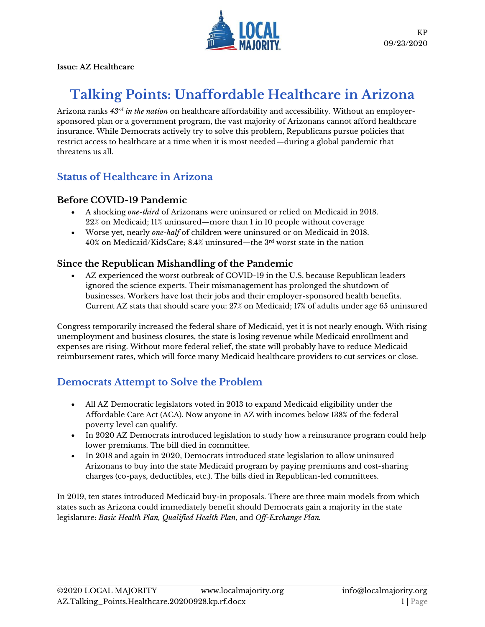

**Issue: AZ Healthcare**

# **Talking Points: Unaffordable Healthcare in Arizona**

Arizona ranks *43rd in the nation* on healthcare affordability and accessibility. Without an employersponsored plan or a government program, the vast majority of Arizonans cannot afford healthcare insurance. While Democrats actively try to solve this problem, Republicans pursue policies that restrict access to healthcare at a time when it is most needed—during a global pandemic that threatens us all.

### **Status of Healthcare in Arizona**

### **Before COVID-19 Pandemic**

- A shocking *one-third* of Arizonans were uninsured or relied on Medicaid in 2018. 22% on Medicaid; 11% uninsured—more than 1 in 10 people without coverage
- Worse yet, nearly *one-half* of children were uninsured or on Medicaid in 2018.  $40\%$  on Medicaid/KidsCare;  $8.4\%$  uninsured—the  $3^{\rm rd}$  worst state in the nation

### **Since the Republican Mishandling of the Pandemic**

AZ experienced the worst outbreak of COVID-19 in the U.S. because Republican leaders ignored the science experts. Their mismanagement has prolonged the shutdown of businesses. Workers have lost their jobs and their employer-sponsored health benefits. Current AZ stats that should scare you: 27% on Medicaid; 17% of adults under age 65 uninsured

Congress temporarily increased the federal share of Medicaid, yet it is not nearly enough. With rising unemployment and business closures, the state is losing revenue while Medicaid enrollment and expenses are rising. Without more federal relief, the state will probably have to reduce Medicaid reimbursement rates, which will force many Medicaid healthcare providers to cut services or close.

### **Democrats Attempt to Solve the Problem**

- All AZ Democratic legislators voted in 2013 to expand Medicaid eligibility under the Affordable Care Act (ACA). Now anyone in AZ with incomes below 138% of the federal poverty level can qualify.
- In 2020 AZ Democrats introduced legislation to study how a reinsurance program could help lower premiums. The bill died in committee.
- In 2018 and again in 2020, Democrats introduced state legislation to allow uninsured Arizonans to buy into the state Medicaid program by paying premiums and cost-sharing charges (co-pays, deductibles, etc.). The bills died in Republican-led committees.

In 2019, ten states introduced Medicaid buy-in proposals. There are three main models from which states such as Arizona could immediately benefit should Democrats gain a majority in the state legislature: *Basic Health Plan, Qualified Health Plan*, and *Off-Exchange Plan.*